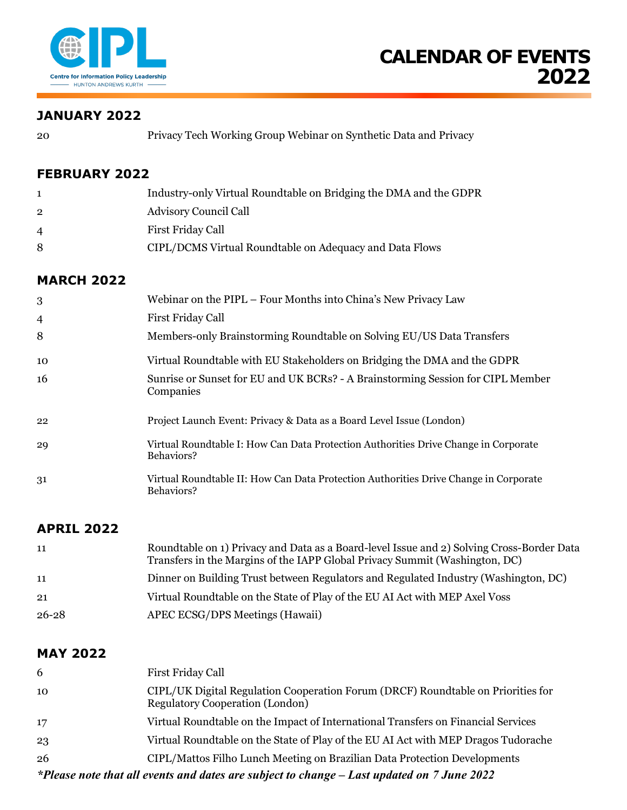

## **JANUARY 2022**

Privacy Tech Working Group Webinar on Synthetic Data and Privacy

## **FEBRUARY 2022**

|                | Industry-only Virtual Roundtable on Bridging the DMA and the GDPR |
|----------------|-------------------------------------------------------------------|
| $\overline{2}$ | Advisory Council Call                                             |
| 4              | First Friday Call                                                 |
| 8              | CIPL/DCMS Virtual Roundtable on Adequacy and Data Flows           |

#### **MARCH 2022**

| 3<br>4<br>8 | Webinar on the PIPL – Four Months into China's New Privacy Law<br>First Friday Call<br>Members-only Brainstorming Roundtable on Solving EU/US Data Transfers |
|-------------|--------------------------------------------------------------------------------------------------------------------------------------------------------------|
| 10          | Virtual Roundtable with EU Stakeholders on Bridging the DMA and the GDPR                                                                                     |
| 16          | Sunrise or Sunset for EU and UK BCRs? - A Brainstorming Session for CIPL Member<br>Companies                                                                 |
| 22          | Project Launch Event: Privacy & Data as a Board Level Issue (London)                                                                                         |
| 29          | Virtual Roundtable I: How Can Data Protection Authorities Drive Change in Corporate<br>Behaviors?                                                            |
| 31          | Virtual Roundtable II: How Can Data Protection Authorities Drive Change in Corporate<br>Behaviors?                                                           |

# **APRIL 2022**

| 11        | Roundtable on 1) Privacy and Data as a Board-level Issue and 2) Solving Cross-Border Data<br>Transfers in the Margins of the IAPP Global Privacy Summit (Washington, DC) |
|-----------|--------------------------------------------------------------------------------------------------------------------------------------------------------------------------|
| 11        | Dinner on Building Trust between Regulators and Regulated Industry (Washington, DC)                                                                                      |
| 21        | Virtual Roundtable on the State of Play of the EU AI Act with MEP Axel Voss                                                                                              |
| $26 - 28$ | APEC ECSG/DPS Meetings (Hawaii)                                                                                                                                          |

# **MAY 2022**

| 6                                                                                          | First Friday Call                                                                                                          |
|--------------------------------------------------------------------------------------------|----------------------------------------------------------------------------------------------------------------------------|
| 10                                                                                         | CIPL/UK Digital Regulation Cooperation Forum (DRCF) Roundtable on Priorities for<br><b>Regulatory Cooperation (London)</b> |
| 17                                                                                         | Virtual Roundtable on the Impact of International Transfers on Financial Services                                          |
| 23                                                                                         | Virtual Roundtable on the State of Play of the EU AI Act with MEP Dragos Tudorache                                         |
| 26                                                                                         | CIPL/Mattos Filho Lunch Meeting on Brazilian Data Protection Developments                                                  |
| *Please note that all events and dates are subject to change – Last updated on 7 June 2022 |                                                                                                                            |